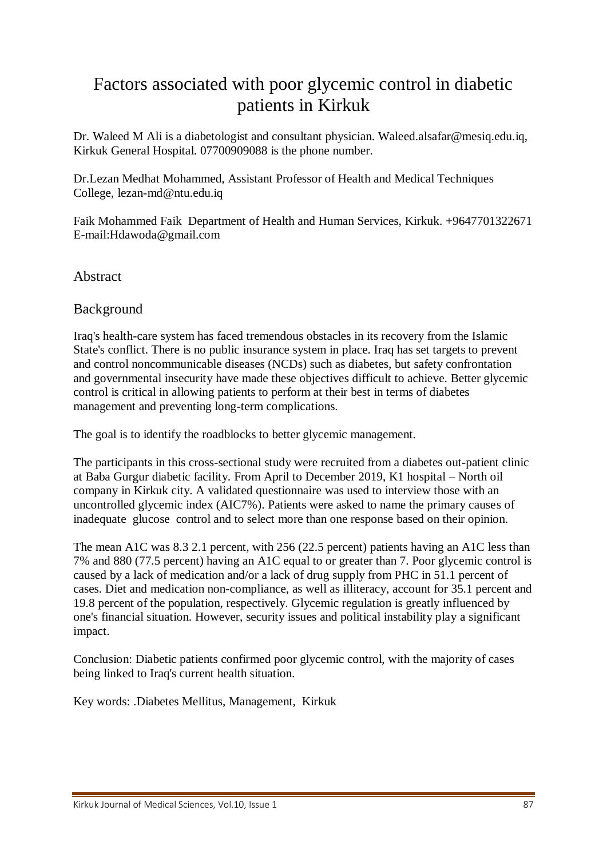# Factors associated with poor glycemic control in diabetic patients in Kirkuk

Dr. Waleed M Ali is a diabetologist and consultant physician. Waleed.alsafar@mesiq.edu.iq, Kirkuk General Hospital. 07700909088 is the phone number.

Dr.Lezan Medhat Mohammed, Assistant Professor of Health and Medical Techniques College, lezan-md@ntu.edu.iq

Faik Mohammed Faik Department of Health and Human Services, Kirkuk. +9647701322671 E-mail:Hdawoda@gmail.com

Abstract

#### Background

Iraq's health-care system has faced tremendous obstacles in its recovery from the Islamic State's conflict. There is no public insurance system in place. Iraq has set targets to prevent and control noncommunicable diseases (NCDs) such as diabetes, but safety confrontation and governmental insecurity have made these objectives difficult to achieve. Better glycemic control is critical in allowing patients to perform at their best in terms of diabetes management and preventing long-term complications.

The goal is to identify the roadblocks to better glycemic management.

The participants in this cross-sectional study were recruited from a diabetes out-patient clinic at Baba Gurgur diabetic facility. From April to December 2019, K1 hospital – North oil company in Kirkuk city. A validated questionnaire was used to interview those with an uncontrolled glycemic index (AIC7%). Patients were asked to name the primary causes of inadequate glucose control and to select more than one response based on their opinion.

The mean A1C was 8.3 2.1 percent, with 256 (22.5 percent) patients having an A1C less than 7% and 880 (77.5 percent) having an A1C equal to or greater than 7. Poor glycemic control is caused by a lack of medication and/or a lack of drug supply from PHC in 51.1 percent of cases. Diet and medication non-compliance, as well as illiteracy, account for 35.1 percent and 19.8 percent of the population, respectively. Glycemic regulation is greatly influenced by one's financial situation. However, security issues and political instability play a significant impact.

Conclusion: Diabetic patients confirmed poor glycemic control, with the majority of cases being linked to Iraq's current health situation.

Key words: .Diabetes Mellitus, Management, Kirkuk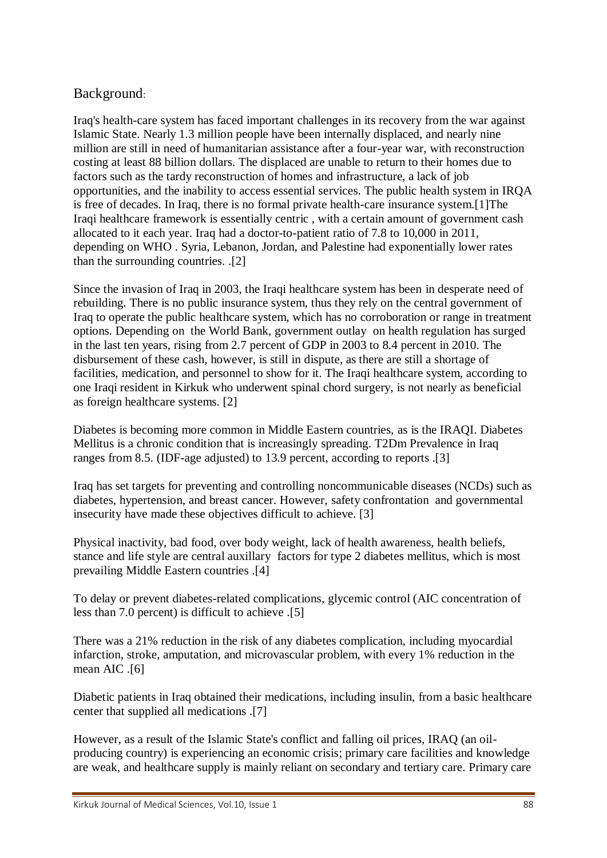# Background:

Iraq's health-care system has faced important challenges in its recovery from the war against Islamic State. Nearly 1.3 million people have been internally displaced, and nearly nine million are still in need of humanitarian assistance after a four-year war, with reconstruction costing at least 88 billion dollars. The displaced are unable to return to their homes due to factors such as the tardy reconstruction of homes and infrastructure, a lack of job opportunities, and the inability to access essential services. The public health system in IRQA is free of decades. In Iraq, there is no formal private health-care insurance system.[1]The Iraqi healthcare framework is essentially centric , with a certain amount of government cash allocated to it each year. Iraq had a doctor-to-patient ratio of 7.8 to 10,000 in 2011, depending on WHO . Syria, Lebanon, Jordan, and Palestine had exponentially lower rates than the surrounding countries. .[2]

Since the invasion of Iraq in 2003, the Iraqi healthcare system has been in desperate need of rebuilding. There is no public insurance system, thus they rely on the central government of Iraq to operate the public healthcare system, which has no corroboration or range in treatment options. Depending on the World Bank, government outlay on health regulation has surged in the last ten years, rising from 2.7 percent of GDP in 2003 to 8.4 percent in 2010. The disbursement of these cash, however, is still in dispute, as there are still a shortage of facilities, medication, and personnel to show for it. The Iraqi healthcare system, according to one Iraqi resident in Kirkuk who underwent spinal chord surgery, is not nearly as beneficial as foreign healthcare systems. [2]

Diabetes is becoming more common in Middle Eastern countries, as is the IRAQI. Diabetes Mellitus is a chronic condition that is increasingly spreading. T2Dm Prevalence in Iraq ranges from 8.5. (IDF-age adjusted) to 13.9 percent, according to reports .[3]

Iraq has set targets for preventing and controlling noncommunicable diseases (NCDs) such as diabetes, hypertension, and breast cancer. However, safety confrontation and governmental insecurity have made these objectives difficult to achieve. [3]

Physical inactivity, bad food, over body weight, lack of health awareness, health beliefs, stance and life style are central auxillary factors for type 2 diabetes mellitus, which is most prevailing Middle Eastern countries .[4]

To delay or prevent diabetes-related complications, glycemic control (AIC concentration of less than 7.0 percent) is difficult to achieve .[5]

There was a 21% reduction in the risk of any diabetes complication, including myocardial infarction, stroke, amputation, and microvascular problem, with every 1% reduction in the mean AIC .[6]

Diabetic patients in Iraq obtained their medications, including insulin, from a basic healthcare center that supplied all medications .[7]

However, as a result of the Islamic State's conflict and falling oil prices, IRAQ (an oilproducing country) is experiencing an economic crisis; primary care facilities and knowledge are weak, and healthcare supply is mainly reliant on secondary and tertiary care. Primary care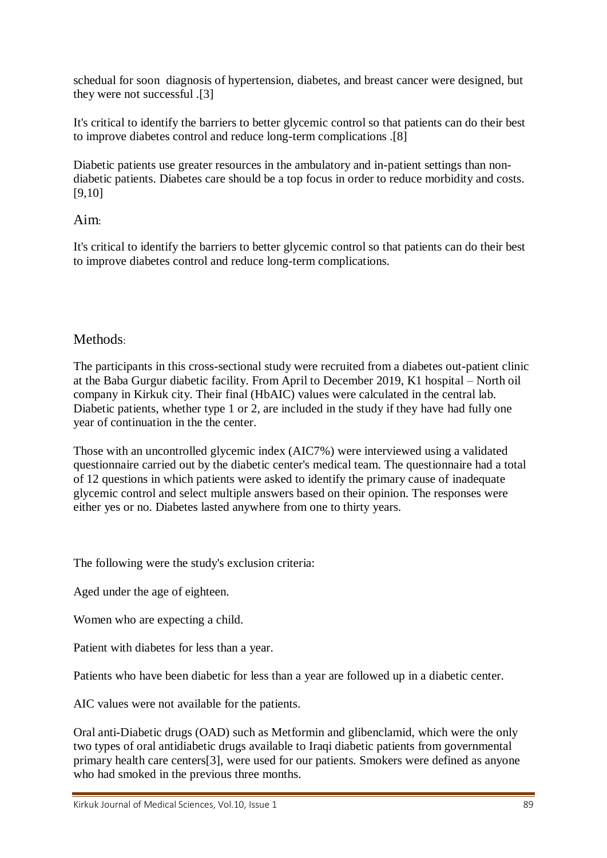schedual for soon diagnosis of hypertension, diabetes, and breast cancer were designed, but they were not successful .[3]

It's critical to identify the barriers to better glycemic control so that patients can do their best to improve diabetes control and reduce long-term complications .[8]

Diabetic patients use greater resources in the ambulatory and in-patient settings than nondiabetic patients. Diabetes care should be a top focus in order to reduce morbidity and costs. [9,10]

#### Aim:

It's critical to identify the barriers to better glycemic control so that patients can do their best to improve diabetes control and reduce long-term complications.

#### Methods:

The participants in this cross-sectional study were recruited from a diabetes out-patient clinic at the Baba Gurgur diabetic facility. From April to December 2019, K1 hospital – North oil company in Kirkuk city. Their final (HbAIC) values were calculated in the central lab. Diabetic patients, whether type 1 or 2, are included in the study if they have had fully one year of continuation in the the center.

Those with an uncontrolled glycemic index (AIC7%) were interviewed using a validated questionnaire carried out by the diabetic center's medical team. The questionnaire had a total of 12 questions in which patients were asked to identify the primary cause of inadequate glycemic control and select multiple answers based on their opinion. The responses were either yes or no. Diabetes lasted anywhere from one to thirty years.

The following were the study's exclusion criteria:

Aged under the age of eighteen.

Women who are expecting a child.

Patient with diabetes for less than a year.

Patients who have been diabetic for less than a year are followed up in a diabetic center.

AIC values were not available for the patients.

Oral anti-Diabetic drugs (OAD) such as Metformin and glibenclamid, which were the only two types of oral antidiabetic drugs available to Iraqi diabetic patients from governmental primary health care centers[3], were used for our patients. Smokers were defined as anyone who had smoked in the previous three months.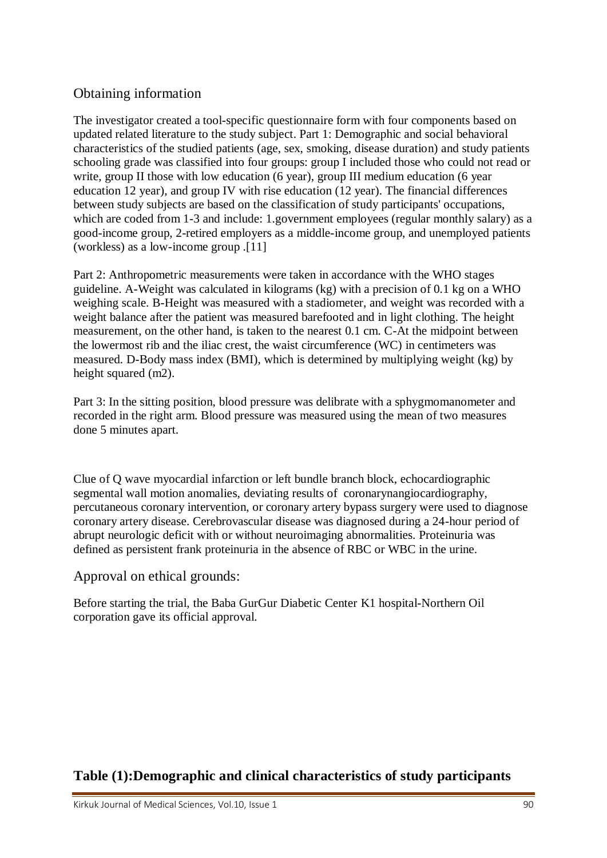# Obtaining information

The investigator created a tool-specific questionnaire form with four components based on updated related literature to the study subject. Part 1: Demographic and social behavioral characteristics of the studied patients (age, sex, smoking, disease duration) and study patients schooling grade was classified into four groups: group I included those who could not read or write, group II those with low education (6 year), group III medium education (6 year education 12 year), and group IV with rise education (12 year). The financial differences between study subjects are based on the classification of study participants' occupations, which are coded from 1-3 and include: 1.government employees (regular monthly salary) as a good-income group, 2-retired employers as a middle-income group, and unemployed patients (workless) as a low-income group .[11]

Part 2: Anthropometric measurements were taken in accordance with the WHO stages guideline. A-Weight was calculated in kilograms (kg) with a precision of 0.1 kg on a WHO weighing scale. B-Height was measured with a stadiometer, and weight was recorded with a weight balance after the patient was measured barefooted and in light clothing. The height measurement, on the other hand, is taken to the nearest 0.1 cm. C-At the midpoint between the lowermost rib and the iliac crest, the waist circumference (WC) in centimeters was measured. D-Body mass index (BMI), which is determined by multiplying weight (kg) by height squared (m2).

Part 3: In the sitting position, blood pressure was delibrate with a sphygmomanometer and recorded in the right arm. Blood pressure was measured using the mean of two measures done 5 minutes apart.

Clue of Q wave myocardial infarction or left bundle branch block, echocardiographic segmental wall motion anomalies, deviating results of coronarynangiocardiography, percutaneous coronary intervention, or coronary artery bypass surgery were used to diagnose coronary artery disease. Cerebrovascular disease was diagnosed during a 24-hour period of abrupt neurologic deficit with or without neuroimaging abnormalities. Proteinuria was defined as persistent frank proteinuria in the absence of RBC or WBC in the urine.

Approval on ethical grounds:

Before starting the trial, the Baba GurGur Diabetic Center K1 hospital-Northern Oil corporation gave its official approval.

# **Table (1):Demographic and clinical characteristics of study participants**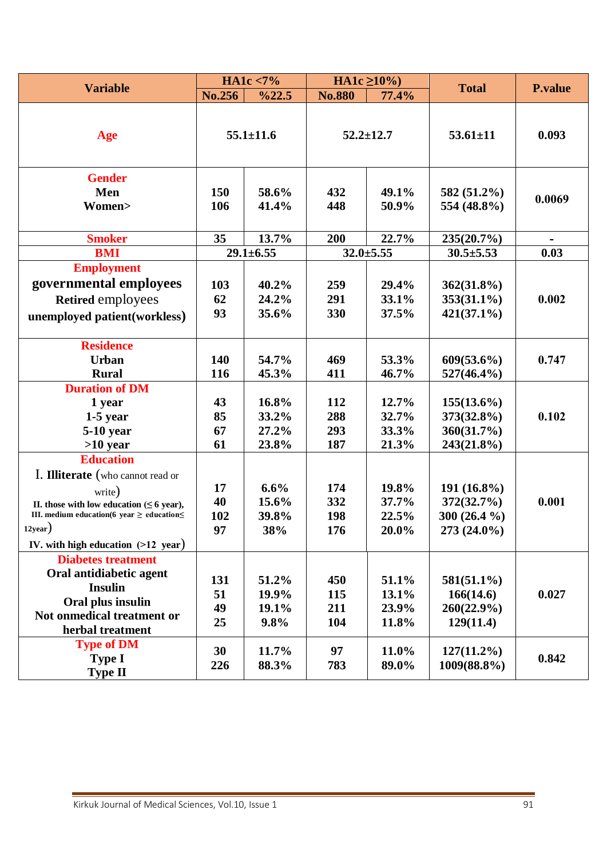| <b>Variable</b>                                                                                                                                                                                             | HA1c $< 7\%$          |                                  | $HA1c \ge 10\%$          |                                  |                                                             |                |
|-------------------------------------------------------------------------------------------------------------------------------------------------------------------------------------------------------------|-----------------------|----------------------------------|--------------------------|----------------------------------|-------------------------------------------------------------|----------------|
|                                                                                                                                                                                                             | No.256                | %22.5                            | <b>No.880</b>            | 77.4%                            | <b>Total</b>                                                | <b>P.value</b> |
| Age                                                                                                                                                                                                         |                       | $55.1 \pm 11.6$                  |                          | $52.2 \pm 12.7$                  | $53.61 \pm 11$                                              | 0.093          |
| <b>Gender</b><br>Men<br>Women>                                                                                                                                                                              | 150<br>106            | 58.6%<br>41.4%                   | 432<br>448               | 49.1%<br>50.9%                   | 582 (51.2%)<br>554 (48.8%)                                  | 0.0069         |
| <b>Smoker</b>                                                                                                                                                                                               | 35                    | 13.7%                            | 200                      | 22.7%                            | 235(20.7%)                                                  |                |
| <b>BMI</b>                                                                                                                                                                                                  |                       | $29.1 \pm 6.55$                  |                          | $32.0 \pm 5.55$                  | $30.5 \pm 5.53$                                             | 0.03           |
| <b>Employment</b>                                                                                                                                                                                           |                       |                                  |                          |                                  |                                                             |                |
| governmental employees<br>Retired employees<br>unemployed patient (workless)                                                                                                                                | 103<br>62<br>93       | 40.2%<br>24.2%<br>35.6%          | 259<br>291<br>330        | 29.4%<br>33.1%<br>37.5%          | $362(31.8\%)$<br>$353(31.1\%)$<br>$421(37.1\%)$             | 0.002          |
| <b>Residence</b><br><b>Urban</b><br><b>Rural</b>                                                                                                                                                            | 140<br>116            | 54.7%<br>45.3%                   | 469<br>411               | 53.3%<br>46.7%                   | $609(53.6\%)$<br>$527(46.4\%)$                              | 0.747          |
| <b>Duration of DM</b><br>1 year<br>$1-5$ year<br>5-10 year<br>$>10$ year<br><b>Education</b>                                                                                                                | 43<br>85<br>67<br>61  | 16.8%<br>33.2%<br>27.2%<br>23.8% | 112<br>288<br>293<br>187 | 12.7%<br>32.7%<br>33.3%<br>21.3% | $155(13.6\%)$<br>$373(32.8\%)$<br>360(31.7%)<br>243(21.8%)  | 0.102          |
| I. Illiterate (who cannot read or<br>write)<br>II. those with low education ( $\leq 6$ year),<br>III. medium education(6 year $\geq$ education $\leq$<br>$12$ year)<br>IV. with high education $(>12$ year) | 17<br>40<br>102<br>97 | 6.6%<br>15.6%<br>39.8%<br>38%    | 174<br>332<br>198<br>176 | 19.8%<br>37.7%<br>22.5%<br>20.0% | $191(16.8\%)$<br>372(32.7%)<br>300 $(26.4\%$<br>273 (24.0%) | 0.001          |
| <b>Diabetes treatment</b><br>Oral antidiabetic agent<br><b>Insulin</b><br>Oral plus insulin<br>Not onmedical treatment or<br>herbal treatment                                                               | 131<br>51<br>49<br>25 | 51.2%<br>19.9%<br>19.1%<br>9.8%  | 450<br>115<br>211<br>104 | 51.1%<br>13.1%<br>23.9%<br>11.8% | $581(51.1\%)$<br>166(14.6)<br>$260(22.9\%)$<br>129(11.4)    | 0.027          |
| <b>Type of DM</b><br><b>Type I</b><br><b>Type II</b>                                                                                                                                                        | 30<br>226             | 11.7%<br>88.3%                   | 97<br>783                | 11.0%<br>89.0%                   | $127(11.2\%)$<br>1009(88.8%)                                | 0.842          |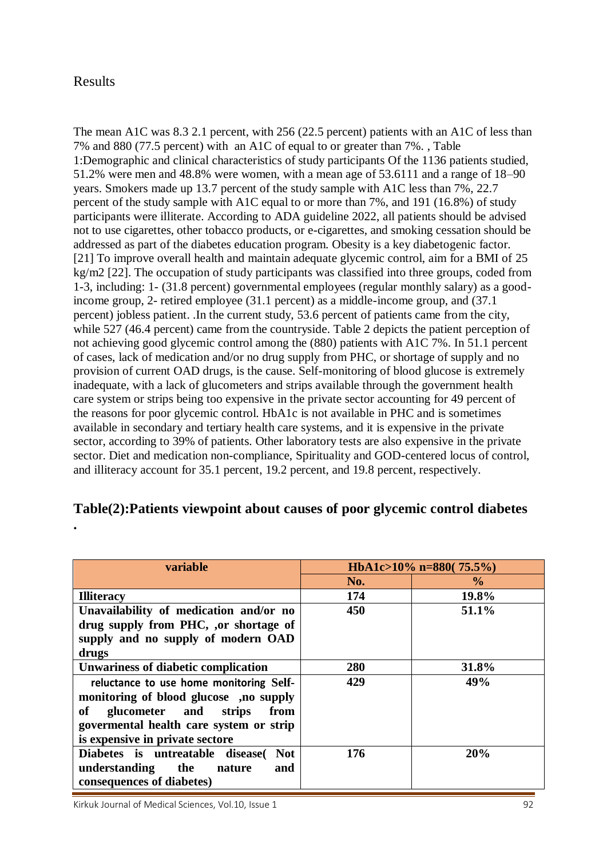#### Results

**.**

The mean A1C was 8.3 2.1 percent, with 256 (22.5 percent) patients with an A1C of less than 7% and 880 (77.5 percent) with an A1C of equal to or greater than 7%. , Table 1:Demographic and clinical characteristics of study participants Of the 1136 patients studied, 51.2% were men and 48.8% were women, with a mean age of 53.6111 and a range of 18–90 years. Smokers made up 13.7 percent of the study sample with A1C less than 7%, 22.7 percent of the study sample with A1C equal to or more than 7%, and 191 (16.8%) of study participants were illiterate. According to ADA guideline 2022, all patients should be advised not to use cigarettes, other tobacco products, or e-cigarettes, and smoking cessation should be addressed as part of the diabetes education program. Obesity is a key diabetogenic factor. [21] To improve overall health and maintain adequate glycemic control, aim for a BMI of 25 kg/m2 [22]. The occupation of study participants was classified into three groups, coded from 1-3, including: 1- (31.8 percent) governmental employees (regular monthly salary) as a goodincome group, 2- retired employee (31.1 percent) as a middle-income group, and (37.1 percent) jobless patient. .In the current study, 53.6 percent of patients came from the city, while 527 (46.4 percent) came from the countryside. Table 2 depicts the patient perception of not achieving good glycemic control among the (880) patients with A1C 7%. In 51.1 percent of cases, lack of medication and/or no drug supply from PHC, or shortage of supply and no provision of current OAD drugs, is the cause. Self-monitoring of blood glucose is extremely inadequate, with a lack of glucometers and strips available through the government health care system or strips being too expensive in the private sector accounting for 49 percent of the reasons for poor glycemic control. HbA1c is not available in PHC and is sometimes available in secondary and tertiary health care systems, and it is expensive in the private sector, according to 39% of patients. Other laboratory tests are also expensive in the private sector. Diet and medication non-compliance, Spirituality and GOD-centered locus of control, and illiteracy account for 35.1 percent, 19.2 percent, and 19.8 percent, respectively.

# **Table(2):Patients viewpoint about causes of poor glycemic control diabetes**

| variable                                      | HbA1c>10% n=880( $75.5\%$ ) |               |  |
|-----------------------------------------------|-----------------------------|---------------|--|
|                                               | No.                         | $\frac{6}{9}$ |  |
| <b>Illiteracy</b>                             | 174                         | 19.8%         |  |
| Unavailability of medication and/or no        | 450                         | 51.1%         |  |
| drug supply from PHC, ,or shortage of         |                             |               |  |
| supply and no supply of modern OAD            |                             |               |  |
| drugs                                         |                             |               |  |
| <b>Unwariness of diabetic complication</b>    | 280                         | 31.8%         |  |
| reluctance to use home monitoring Self-       | 429                         | 49%           |  |
| monitoring of blood glucose, no supply        |                             |               |  |
| of<br>glucometer and strips<br>from           |                             |               |  |
| govermental health care system or strip       |                             |               |  |
| is expensive in private sectore               |                             |               |  |
| Diabetes is untreatable disease<br><b>Not</b> | 176                         | 20%           |  |
| understanding the<br>and<br>nature            |                             |               |  |
| consequences of diabetes)                     |                             |               |  |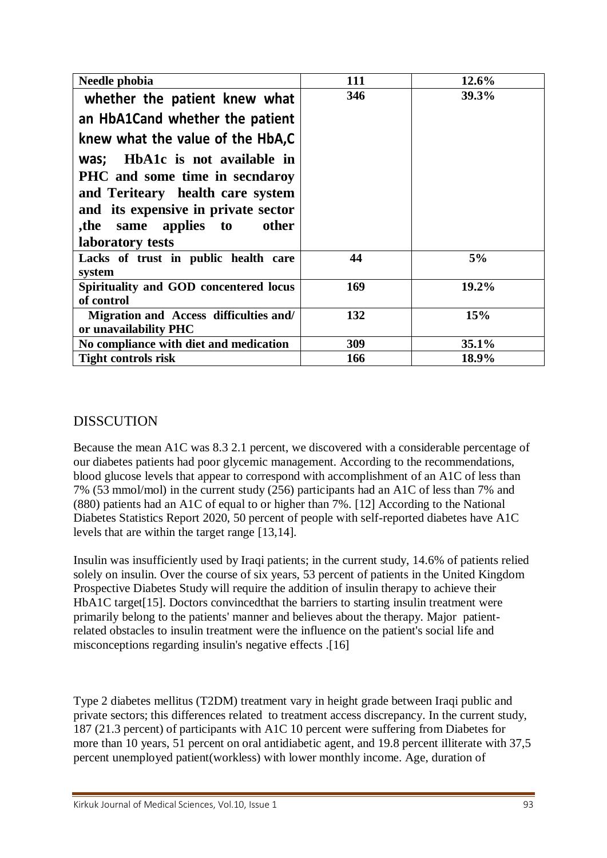| Needle phobia                                 | 111 | 12.6% |
|-----------------------------------------------|-----|-------|
| whether the patient knew what                 | 346 | 39.3% |
| an HbA1Cand whether the patient               |     |       |
| knew what the value of the HbA,C              |     |       |
| was; HbA1c is not available in                |     |       |
| PHC and some time in secndaroy                |     |       |
| and Teriteary health care system              |     |       |
| and its expensive in private sector           |     |       |
| the same applies to<br>other                  |     |       |
| laboratory tests                              |     |       |
| Lacks of trust in public health care          | 44  | 5%    |
| system                                        |     |       |
| Spirituality and GOD concentered locus        | 169 | 19.2% |
| of control                                    |     |       |
| <b>Migration and Access difficulties and/</b> | 132 | 15%   |
| or unavailability PHC                         |     |       |
| No compliance with diet and medication        | 309 | 35.1% |
| <b>Tight controls risk</b>                    | 166 | 18.9% |

# **DISSCUTION**

Because the mean A1C was 8.3 2.1 percent, we discovered with a considerable percentage of our diabetes patients had poor glycemic management. According to the recommendations, blood glucose levels that appear to correspond with accomplishment of an A1C of less than 7% (53 mmol/mol) in the current study (256) participants had an A1C of less than 7% and (880) patients had an A1C of equal to or higher than 7%. [12] According to the National Diabetes Statistics Report 2020, 50 percent of people with self-reported diabetes have A1C levels that are within the target range [13,14].

Insulin was insufficiently used by Iraqi patients; in the current study, 14.6% of patients relied solely on insulin. Over the course of six years, 53 percent of patients in the United Kingdom Prospective Diabetes Study will require the addition of insulin therapy to achieve their HbA1C target [15]. Doctors convinced that the barriers to starting insulin treatment were primarily belong to the patients' manner and believes about the therapy. Major patientrelated obstacles to insulin treatment were the influence on the patient's social life and misconceptions regarding insulin's negative effects .[16]

Type 2 diabetes mellitus (T2DM) treatment vary in height grade between Iraqi public and private sectors; this differences related to treatment access discrepancy. In the current study, 187 (21.3 percent) of participants with A1C 10 percent were suffering from Diabetes for more than 10 years, 51 percent on oral antidiabetic agent, and 19.8 percent illiterate with 37,5 percent unemployed patient(workless) with lower monthly income. Age, duration of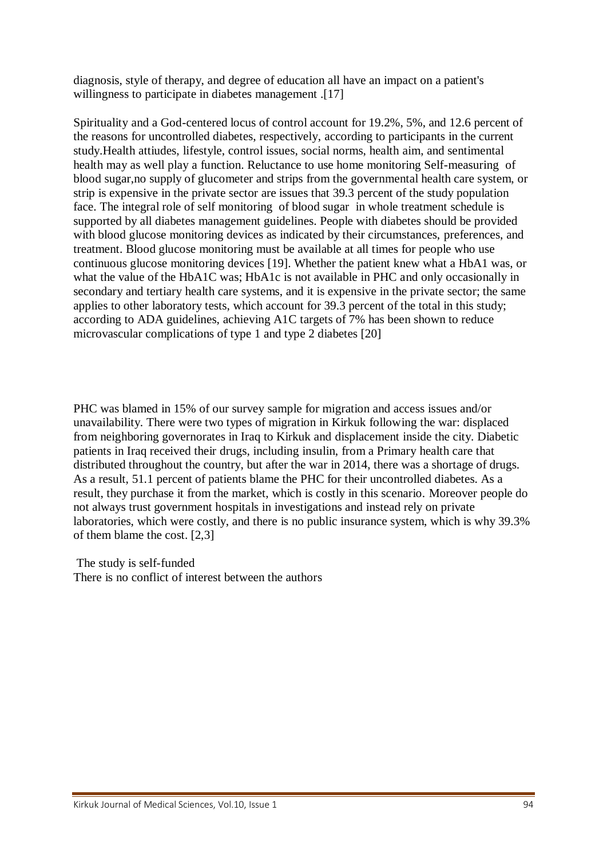diagnosis, style of therapy, and degree of education all have an impact on a patient's willingness to participate in diabetes management .[17]

Spirituality and a God-centered locus of control account for 19.2%, 5%, and 12.6 percent of the reasons for uncontrolled diabetes, respectively, according to participants in the current study.Health attiudes, lifestyle, control issues, social norms, health aim, and sentimental health may as well play a function. Reluctance to use home monitoring Self-measuring of blood sugar,no supply of glucometer and strips from the governmental health care system, or strip is expensive in the private sector are issues that 39.3 percent of the study population face. The integral role of self monitoring of blood sugar in whole treatment schedule is supported by all diabetes management guidelines. People with diabetes should be provided with blood glucose monitoring devices as indicated by their circumstances, preferences, and treatment. Blood glucose monitoring must be available at all times for people who use continuous glucose monitoring devices [19]. Whether the patient knew what a HbA1 was, or what the value of the HbA1C was; HbA1c is not available in PHC and only occasionally in secondary and tertiary health care systems, and it is expensive in the private sector; the same applies to other laboratory tests, which account for 39.3 percent of the total in this study; according to ADA guidelines, achieving A1C targets of 7% has been shown to reduce microvascular complications of type 1 and type 2 diabetes [20]

PHC was blamed in 15% of our survey sample for migration and access issues and/or unavailability. There were two types of migration in Kirkuk following the war: displaced from neighboring governorates in Iraq to Kirkuk and displacement inside the city. Diabetic patients in Iraq received their drugs, including insulin, from a Primary health care that distributed throughout the country, but after the war in 2014, there was a shortage of drugs. As a result, 51.1 percent of patients blame the PHC for their uncontrolled diabetes. As a result, they purchase it from the market, which is costly in this scenario. Moreover people do not always trust government hospitals in investigations and instead rely on private laboratories, which were costly, and there is no public insurance system, which is why 39.3% of them blame the cost. [2,3]

The study is self-funded There is no conflict of interest between the authors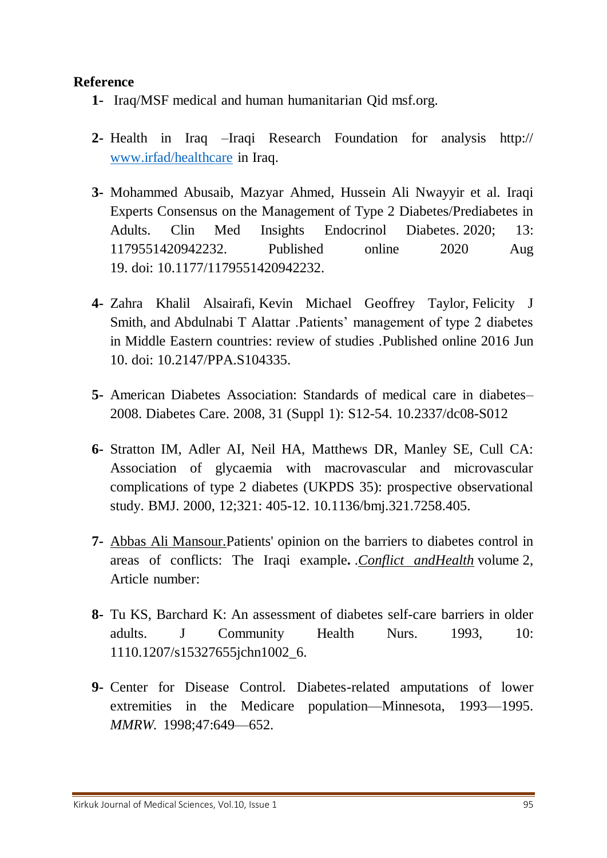# **Reference**

- **1-** Iraq/MSF medical and human humanitarian Qid msf.org.
- **2-** Health in Iraq –Iraqi Research Foundation for analysis http:// [www.irfad/healthcare](http://www.irfad/healthcare) in Iraq.
- **3-** Mohammed Abusaib, Mazyar Ahmed, Hussein Ali Nwayyir et al. Iraqi Experts Consensus on the Management of Type 2 Diabetes/Prediabetes in Adults. [Clin Med Insights Endocrinol Diabetes.](https://www.ncbi.nlm.nih.gov/pmc/articles/PMC7440731/) 2020: 13: 1179551420942232. Published online 2020 Aug 19. doi: [10.1177/1179551420942232.](https://dx.doi.org/10.1177%2F1179551420942232)
- **4-** [Zahra Khalil Alsairafi,](https://www.ncbi.nlm.nih.gov/pubmed/?term=Alsairafi%20ZK%5BAuthor%5D&cauthor=true&cauthor_uid=27354775) [Kevin Michael Geoffrey Taylor,](https://www.ncbi.nlm.nih.gov/pubmed/?term=Taylor%20KM%5BAuthor%5D&cauthor=true&cauthor_uid=27354775) [Felicity J](https://www.ncbi.nlm.nih.gov/pubmed/?term=Smith%20FJ%5BAuthor%5D&cauthor=true&cauthor_uid=27354775)  [Smith,](https://www.ncbi.nlm.nih.gov/pubmed/?term=Smith%20FJ%5BAuthor%5D&cauthor=true&cauthor_uid=27354775) and [Abdulnabi T Alattar](https://www.ncbi.nlm.nih.gov/pubmed/?term=Alattar%20AT%5BAuthor%5D&cauthor=true&cauthor_uid=27354775) .Patients' management of type 2 diabetes in Middle Eastern countries: review of studies. Published online 2016 Jun 10. doi: [10.2147/PPA.S104335.](https://dx.doi.org/10.2147%2FPPA.S104335)
- **5-** American Diabetes Association: Standards of medical care in diabetes– 2008. Diabetes Care. 2008, 31 (Suppl 1): S12-54. 10.2337/dc08-S012
- **6-** Stratton IM, Adler AI, Neil HA, Matthews DR, Manley SE, Cull CA: Association of glycaemia with macrovascular and microvascular complications of type 2 diabetes (UKPDS 35): prospective observational study. BMJ. 2000, 12;321: 405-12. 10.1136/bmj.321.7258.405.
- **7-** [Abbas Ali Mansour.](https://conflictandhealth.biomedcentral.com/articles/10.1186/1752-1505-2-7#auth-Abbas_Ali-Mansour)Patients' opinion on the barriers to diabetes control in areas of conflicts: The Iraqi example**.** .*[Conflict andHealth](https://conflictandhealth.biomedcentral.com/)* volume 2, Article number:
- **8-** Tu KS, Barchard K: An assessment of diabetes self-care barriers in older adults. J Community Health Nurs. 1993, 10: 1110.1207/s15327655jchn1002\_6.
- **9-** Center for Disease Control. Diabetes-related amputations of lower extremities in the Medicare population—Minnesota, 1993—1995. *MMRW.* 1998;47:649—652.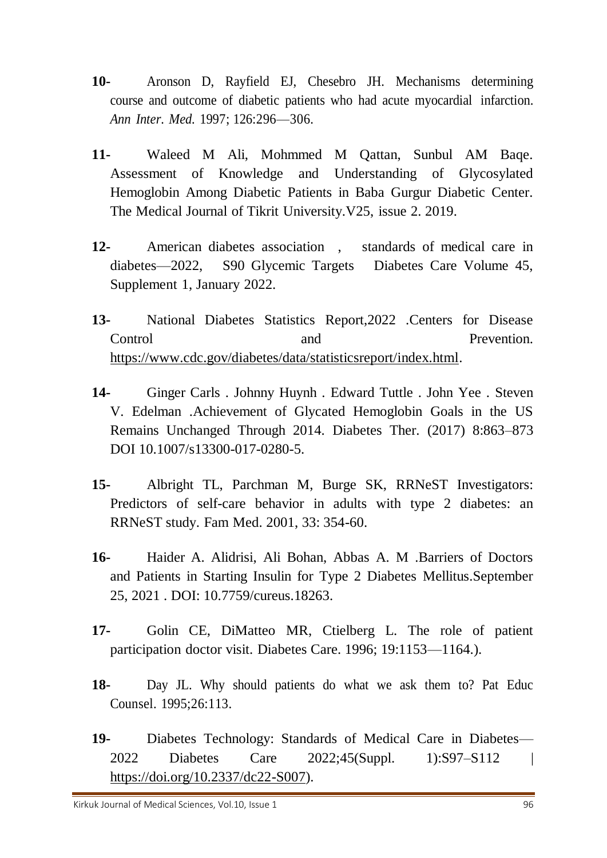- **10-** Aronson D, Rayfield EJ, Chesebro JH. Mechanisms determining course and outcome of diabetic patients who had acute myocardial infarction. *Ann Inter. Med.* 1997; 126:296—306.
- **11-** Waleed M Ali, Mohmmed M Qattan, Sunbul AM Baqe. Assessment of Knowledge and Understanding of Glycosylated Hemoglobin Among Diabetic Patients in Baba Gurgur Diabetic Center. The Medical Journal of Tikrit University.V25, issue 2. 2019.
- **12-** American diabetes association , standards of medical care in diabetes—2022, S90 Glycemic Targets Diabetes Care Volume 45, Supplement 1, January 2022.
- **13-** National Diabetes Statistics Report,2022 .Centers for Disease Control and and Prevention. [https://www.cdc.gov/diabetes/data/statisticsreport/index.html.](https://www.cdc.gov/diabetes/data/statisticsreport/index.html)
- **14-** Ginger Carls . Johnny Huynh . Edward Tuttle . John Yee . Steven V. Edelman .Achievement of Glycated Hemoglobin Goals in the US Remains Unchanged Through 2014. Diabetes Ther. (2017) 8:863–873 DOI 10.1007/s13300-017-0280-5.
- **15-** Albright TL, Parchman M, Burge SK, RRNeST Investigators: Predictors of self-care behavior in adults with type 2 diabetes: an RRNeST study. Fam Med. 2001, 33: 354-60.
- **16-** Haider A. Alidrisi, Ali Bohan, Abbas A. M .Barriers of Doctors and Patients in Starting Insulin for Type 2 Diabetes Mellitus.September 25, 2021 . DOI: 10.7759/cureus.18263.
- **17-** Golin CE, DiMatteo MR, Ctielberg L. The role of patient participation doctor visit. Diabetes Care. 1996; 19:1153—1164.).
- **18-** Day JL. Why should patients do what we ask them to? Pat Educ Counsel. 1995;26:113.
- **19-** Diabetes Technology: Standards of Medical Care in Diabetes— 2022 Diabetes Care 2022;45(Suppl. 1):S97–S112 | [https://doi.org/10.2337/dc22-S007\)](https://doi.org/10.2337/dc22-S007).